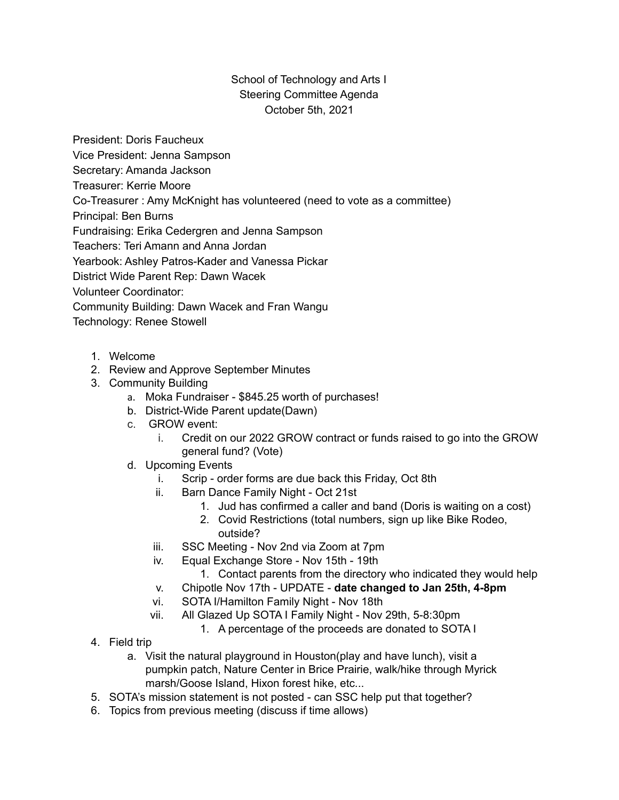## School of Technology and Arts I Steering Committee Agenda October 5th, 2021

President: Doris Faucheux

Vice President: Jenna Sampson

Secretary: Amanda Jackson

Treasurer: Kerrie Moore

Co-Treasurer : Amy McKnight has volunteered (need to vote as a committee)

Principal: Ben Burns

Fundraising: Erika Cedergren and Jenna Sampson

Teachers: Teri Amann and Anna Jordan

Yearbook: Ashley Patros-Kader and Vanessa Pickar

District Wide Parent Rep: Dawn Wacek

Volunteer Coordinator:

Community Building: Dawn Wacek and Fran Wangu

Technology: Renee Stowell

- 1. Welcome
- 2. Review and Approve September Minutes
- 3. Community Building
	- a. Moka Fundraiser \$845.25 worth of purchases!
	- b. District-Wide Parent update(Dawn)
	- c. GROW event:
		- i. Credit on our 2022 GROW contract or funds raised to go into the GROW general fund? (Vote)
	- d. Upcoming Events
		- i. Scrip order forms are due back this Friday, Oct 8th
		- ii. Barn Dance Family Night Oct 21st
			- 1. Jud has confirmed a caller and band (Doris is waiting on a cost)
			- 2. Covid Restrictions (total numbers, sign up like Bike Rodeo,
				- outside?
		- iii. SSC Meeting Nov 2nd via Zoom at 7pm
		- iv. Equal Exchange Store Nov 15th 19th
			- 1. Contact parents from the directory who indicated they would help
		- v. Chipotle Nov 17th UPDATE **date changed to Jan 25th, 4-8pm**
		- vi. SOTA I/Hamilton Family Night Nov 18th
		- vii. All Glazed Up SOTA I Family Night Nov 29th, 5-8:30pm
			- 1. A percentage of the proceeds are donated to SOTA I
- 4. Field trip
	- a. Visit the natural playground in Houston(play and have lunch), visit a pumpkin patch, Nature Center in Brice Prairie, walk/hike through Myrick marsh/Goose Island, Hixon forest hike, etc...
- 5. SOTA's mission statement is not posted can SSC help put that together?
- 6. Topics from previous meeting (discuss if time allows)